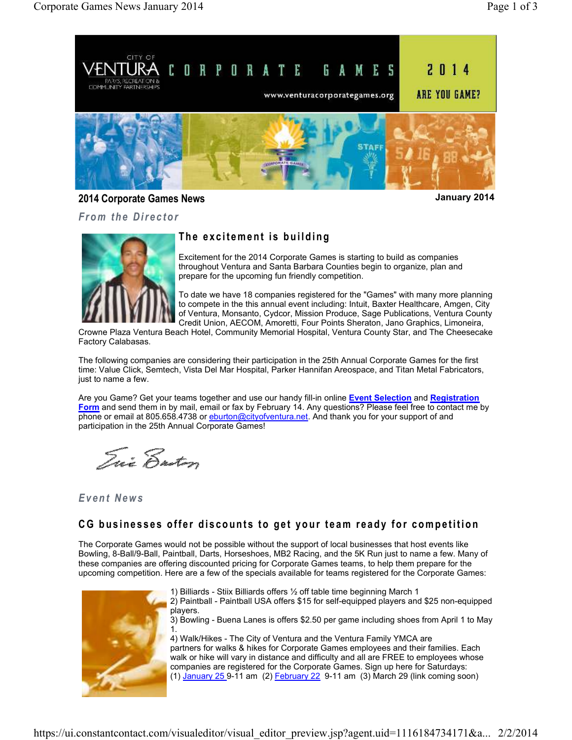

**2014 Corporate Games News January 2014**

*From the Director* 

# The excitement is building

Excitement for the 2014 Corporate Games is starting to build as companies throughout Ventura and Santa Barbara Counties begin to organize, plan and prepare for the upcoming fun friendly competition.

To date we have 18 companies registered for the "Games" with many more planning to compete in the this annual event including: Intuit, Baxter Healthcare, Amgen, City of Ventura, Monsanto, Cydcor, Mission Produce, Sage Publications, Ventura County Credit Union, AECOM, Amoretti, Four Points Sheraton, Jano Graphics, Limoneira,

Crowne Plaza Ventura Beach Hotel, Community Memorial Hospital, Ventura County Star, and The Cheesecake Factory Calabasas.

The following companies are considering their participation in the 25th Annual Corporate Games for the first time: Value Click, Semtech, Vista Del Mar Hospital, Parker Hannifan Areospace, and Titan Metal Fabricators, just to name a few.

Are you Game? Get your teams together and use our handy fill-in online **Event Selection** and **Registration Form** and send them in by mail, email or fax by February 14. Any questions? Please feel free to contact me by phone or email at 805.658.4738 or eburton@cityofventura.net. And thank you for your support of and participation in the 25th Annual Corporate Games!

Tui Ensten

#### *E v e n t N e w s*

# CG businesses offer discounts to get your team ready for competition

The Corporate Games would not be possible without the support of local businesses that host events like Bowling, 8-Ball/9-Ball, Paintball, Darts, Horseshoes, MB2 Racing, and the 5K Run just to name a few. Many of these companies are offering discounted pricing for Corporate Games teams, to help them prepare for the upcoming competition. Here are a few of the specials available for teams registered for the Corporate Games:



1) Billiards - Stiix Billiards offers ½ off table time beginning March 1 2) Paintball - Paintball USA offers \$15 for self-equipped players and \$25 non-equipped players.

3) Bowling - Buena Lanes is offers \$2.50 per game including shoes from April 1 to May 1.

4) Walk/Hikes - The City of Ventura and the Ventura Family YMCA are partners for walks & hikes for Corporate Games employees and their families. Each walk or hike will vary in distance and difficulty and all are FREE to employees whose companies are registered for the Corporate Games. Sign up here for Saturdays: (1)  $J$ anuary 25 9-11 am (2) February 22 9-11 am (3) March 29 (link coming soon)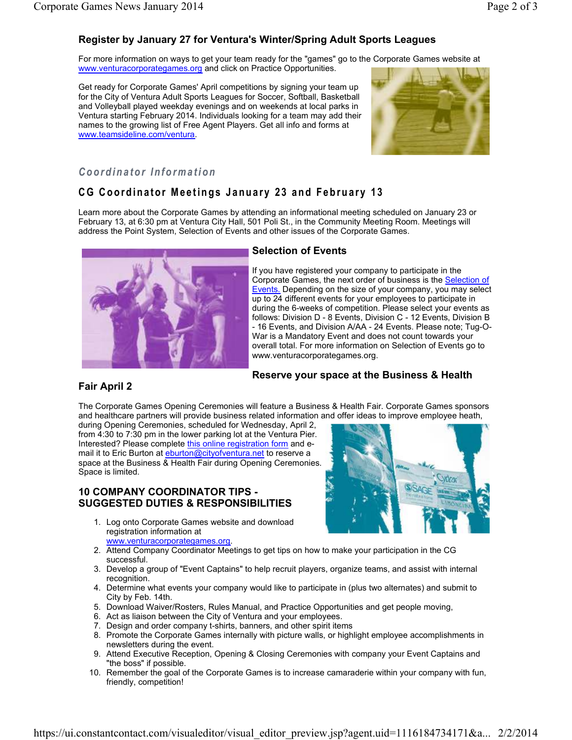# **Register by January 27 for Ventura's Winter/Spring Adult Sports Leagues**

For more information on ways to get your team ready for the "games" go to the Corporate Games website at www.venturacorporategames.org and click on Practice Opportunities.

Get ready for Corporate Games' April competitions by signing your team up for the City of Ventura Adult Sports Leagues for Soccer, Softball, Basketball and Volleyball played weekday evenings and on weekends at local parks in Ventura starting February 2014. Individuals looking for a team may add their names to the growing list of Free Agent Players. Get all info and forms at www.teamsideline.com/ventura.



### *C o o r d i n a t o r I n f o r m a t i o n*

# **CG Coordinator Meetings January 23 and February 13**

Learn more about the Corporate Games by attending an informational meeting scheduled on January 23 or February 13, at 6:30 pm at Ventura City Hall, 501 Poli St., in the Community Meeting Room. Meetings will address the Point System, Selection of Events and other issues of the Corporate Games.



#### **Selection of Events**

If you have registered your company to participate in the Corporate Games, the next order of business is the **Selection of** Events. Depending on the size of your company, you may select up to 24 different events for your employees to participate in during the 6-weeks of competition. Please select your events as follows: Division D - 8 Events, Division C - 12 Events, Division B - 16 Events, and Division A/AA - 24 Events. Please note; Tug-O-War is a Mandatory Event and does not count towards your overall total. For more information on Selection of Events go to www.venturacorporategames.org.

#### **Reserve your space at the Business & Health**

#### **Fair April 2**

The Corporate Games Opening Ceremonies will feature a Business & Health Fair. Corporate Games sponsors and healthcare partners will provide business related information and offer ideas to improve employee heath,

during Opening Ceremonies, scheduled for Wednesday, April 2, from 4:30 to 7:30 pm in the lower parking lot at the Ventura Pier. Interested? Please complete this online registration form and email it to Eric Burton at eburton@cityofventura.net to reserve a space at the Business & Health Fair during Opening Ceremonies. Space is limited.

#### **10 COMPANY COORDINATOR TIPS - SUGGESTED DUTIES & RESPONSIBILITIES**



- 1. Log onto Corporate Games website and download registration information at www.venturacorporategames.org.
- 2. Attend Company Coordinator Meetings to get tips on how to make your participation in the CG successful.
- 3. Develop a group of "Event Captains" to help recruit players, organize teams, and assist with internal recognition.
- 4. Determine what events your company would like to participate in (plus two alternates) and submit to City by Feb. 14th.
- 5. Download Waiver/Rosters, Rules Manual, and Practice Opportunities and get people moving,
- 6. Act as liaison between the City of Ventura and your employees.
- 7. Design and order company t-shirts, banners, and other spirit items
- 8. Promote the Corporate Games internally with picture walls, or highlight employee accomplishments in newsletters during the event.
- 9. Attend Executive Reception, Opening & Closing Ceremonies with company your Event Captains and "the boss" if possible.
- 10. Remember the goal of the Corporate Games is to increase camaraderie within your company with fun, friendly, competition!